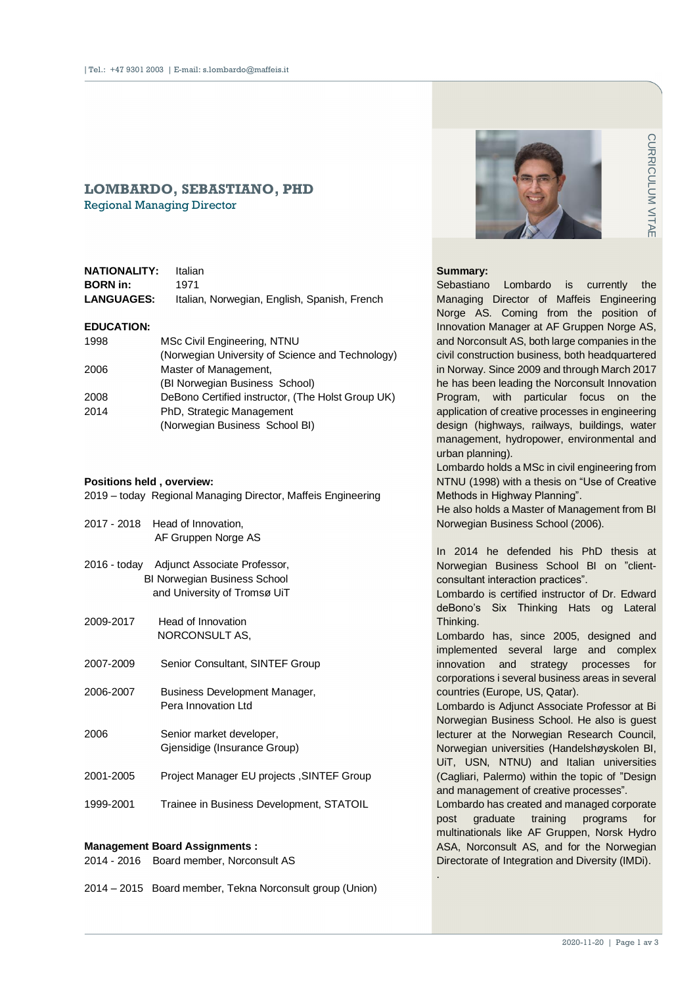# **LOMBARDO, SEBASTIANO, PHD** Regional Managing Director

| NATIONALITY:      | Italian                                      |
|-------------------|----------------------------------------------|
| <b>BORN</b> in:   | 1971                                         |
| <b>LANGUAGES:</b> | Italian, Norwegian, English, Spanish, French |

### **EDUCATION:**

| 1998 | MSc Civil Engineering, NTNU                       |
|------|---------------------------------------------------|
|      | (Norwegian University of Science and Technology)  |
| 2006 | Master of Management,                             |
|      | (BI Norwegian Business School)                    |
| 2008 | DeBono Certified instructor, (The Holst Group UK) |
| 2014 | PhD, Strategic Management                         |
|      | (Norwegian Business School BI)                    |

#### **Positions held , overview:**

| 2019 - today Regional Managing Director, Maffeis Engineering |  |  |  |
|--------------------------------------------------------------|--|--|--|
|                                                              |  |  |  |

|           | 2017 - 2018 Head of Innovation,<br>AF Gruppen Norge AS                                                           |
|-----------|------------------------------------------------------------------------------------------------------------------|
|           | 2016 - today Adjunct Associate Professor,<br><b>BI Norwegian Business School</b><br>and University of Tromsø UiT |
| 2009-2017 | Head of Innovation<br>NORCONSULT AS,                                                                             |
| 2007-2009 | Senior Consultant, SINTEF Group                                                                                  |
| 2006-2007 | Business Development Manager,<br>Pera Innovation Ltd                                                             |
| 2006      | Senior market developer,<br>Gjensidige (Insurance Group)                                                         |
| 2001-2005 | Project Manager EU projects, SINTEF Group                                                                        |
| 1999-2001 | Trainee in Business Development, STATOIL                                                                         |

#### **Management Board Assignments :**

|  |  | 2014 - 2016 Board member, Norconsult AS |  |
|--|--|-----------------------------------------|--|
|--|--|-----------------------------------------|--|

2014 – 2015 Board member, Tekna Norconsult group (Union)



#### **Summary:**

Controller the position of the position of the position of Gruppen Norge AS, reads companies in the both headquartered through March 2017 orconsult Innovation are sesses in engineering the sesses in engineering from on "Us Sebastiano Lombardo is currently the Managing Director of Maffeis Engineering Norge AS. Coming from the position of Innovation Manager at AF Gruppen Norge AS, and Norconsult AS, both large companies in the civil construction business, both headquartered in Norway. Since 2009 and through March 2017 he has been leading the Norconsult Innovation Program, with particular focus on the application of creative processes in engineering design (highways, railways, buildings, water management, hydropower, environmental and urban planning).

Lombardo holds a MSc in civil engineering from NTNU (1998) with a thesis on "Use of Creative Methods in Highway Planning".

He also holds a Master of Management from BI Norwegian Business School (2006).

In 2014 he defended his PhD thesis at Norwegian Business School BI on "clientconsultant interaction practices".

Lombardo is certified instructor of Dr. Edward deBono's Six Thinking Hats og Lateral Thinking.

Lombardo has, since 2005, designed and implemented several large and complex innovation and strategy processes for corporations i several business areas in several countries (Europe, US, Qatar).

Lombardo is Adjunct Associate Professor at Bi Norwegian Business School. He also is guest lecturer at the Norwegian Research Council, Norwegian universities (Handelshøyskolen BI, UiT, USN, NTNU) and Italian universities (Cagliari, Palermo) within the topic of "Design and management of creative processes".

Lombardo has created and managed corporate post graduate training programs for multinationals like AF Gruppen, Norsk Hydro ASA, Norconsult AS, and for the Norwegian Directorate of Integration and Diversity (IMDi).

.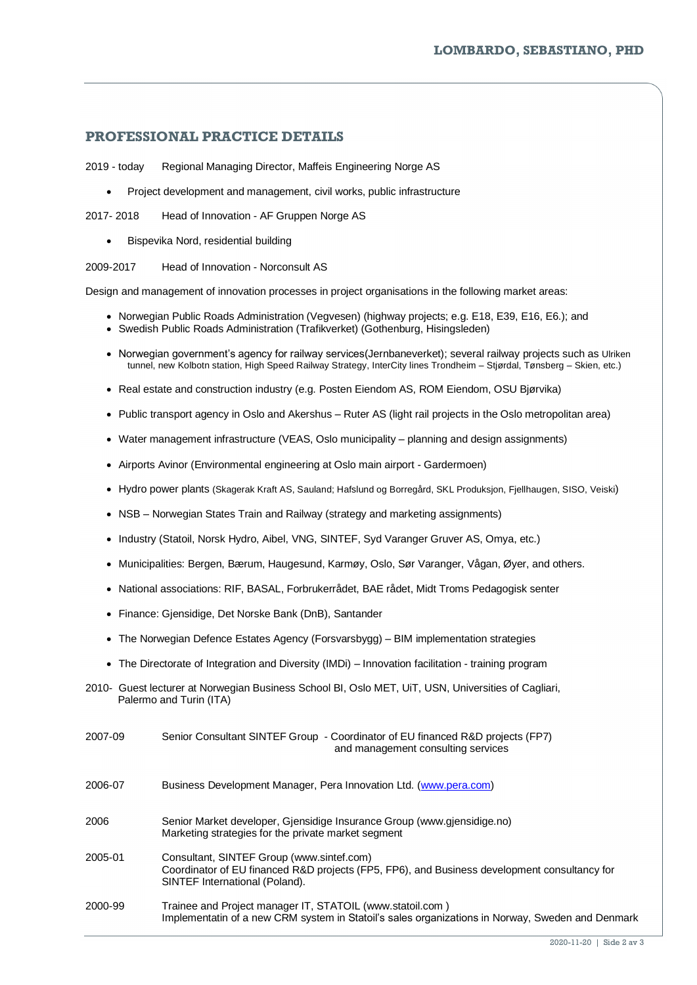# **PROFESSIONAL PRACTICE DETAILS**

2019 - today Regional Managing Director, Maffeis Engineering Norge AS

• Project development and management, civil works, public infrastructure

2017- 2018 Head of Innovation - AF Gruppen Norge AS

• Bispevika Nord, residential building

2009-2017 Head of Innovation - Norconsult AS

Design and management of innovation processes in project organisations in the following market areas:

- Norwegian Public Roads Administration (Vegvesen) (highway projects; e.g. E18, E39, E16, E6.); and
- Swedish Public Roads Administration (Trafikverket) (Gothenburg, Hisingsleden)
- Norwegian government's agency for railway services(Jernbaneverket); several railway projects such as Ulriken tunnel, new Kolbotn station, High Speed Railway Strategy, InterCity lines Trondheim – Stjørdal, Tønsberg – Skien, etc.)
- Real estate and construction industry (e.g. Posten Eiendom AS, ROM Eiendom, OSU Bjørvika)
- Public transport agency in Oslo and Akershus Ruter AS (light rail projects in the Oslo metropolitan area)
- Water management infrastructure (VEAS, Oslo municipality planning and design assignments)
- Airports Avinor (Environmental engineering at Oslo main airport Gardermoen)
- Hydro power plants (Skagerak Kraft AS, Sauland; Hafslund og Borregård, SKL Produksjon, Fjellhaugen, SISO, Veiski)
- NSB Norwegian States Train and Railway (strategy and marketing assignments)
- Industry (Statoil, Norsk Hydro, Aibel, VNG, SINTEF, Syd Varanger Gruver AS, Omya, etc.)
- Municipalities: Bergen, Bærum, Haugesund, Karmøy, Oslo, Sør Varanger, Vågan, Øyer, and others.
- National associations: RIF, BASAL, Forbrukerrådet, BAE rådet, Midt Troms Pedagogisk senter
- Finance: Gjensidige, Det Norske Bank (DnB), Santander
- The Norwegian Defence Estates Agency (Forsvarsbygg) BIM implementation strategies
- The Directorate of Integration and Diversity (IMDi) Innovation facilitation training program
- 2010- Guest lecturer at Norwegian Business School BI, Oslo MET, UiT, USN, Universities of Cagliari, Palermo and Turin (ITA)

| 2007-09 | Senior Consultant SINTEF Group - Coordinator of EU financed R&D projects (FP7)<br>and management consulting services                                                        |
|---------|-----------------------------------------------------------------------------------------------------------------------------------------------------------------------------|
| 2006-07 | Business Development Manager, Pera Innovation Ltd. (www.pera.com)                                                                                                           |
| 2006    | Senior Market developer, Giensidige Insurance Group (www.giensidige.no)<br>Marketing strategies for the private market segment                                              |
| 2005-01 | Consultant, SINTEF Group (www.sintef.com)<br>Coordinator of EU financed R&D projects (FP5, FP6), and Business development consultancy for<br>SINTEF International (Poland). |
| 2000-99 | Trainee and Project manager IT, STATOIL (www.statoil.com)<br>Implementatin of a new CRM system in Statoil's sales organizations in Norway, Sweden and Denmark               |